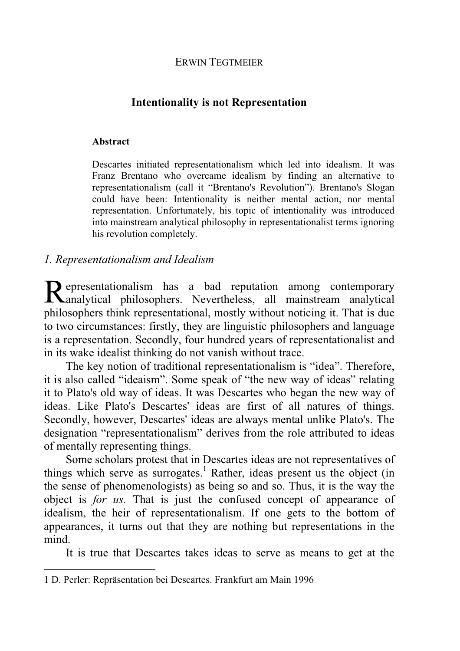## ERWIN TEGTMEIER

# **Intentionality is not Representation**

#### **Abstract**

Descartes initiated representationalism which led into idealism. It was Franz Brentano who overcame idealism by finding an alternative to representationalism (call it "Brentano's Revolution"). Brentano's Slogan could have been: Intentionality is neither mental action, nor mental representation. Unfortunately, his topic of intentionality was introduced into mainstream analytical philosophy in representationalist terms ignoring his revolution completely.

## *1. Representationalism and Idealism*

epresentationalism has a bad reputation among contemporary Representationalism has a bad reputation among contemporary<br>
Ranalytical philosophers. Nevertheless, all mainstream analytical philosophers think representational, mostly without noticing it. That is due to two circumstances: firstly, they are linguistic philosophers and language is a representation. Secondly, four hundred years of representationalist and in its wake idealist thinking do not vanish without trace.

The key notion of traditional representationalism is "idea". Therefore, it is also called "ideaism". Some speak of "the new way of ideas" relating it to Plato's old way of ideas. It was Descartes who began the new way of ideas. Like Plato's Descartes' ideas are first of all natures of things. Secondly, however, Descartes' ideas are always mental unlike Plato's. The designation "representationalism" derives from the role attributed to ideas of mentally representing things.

Some scholars protest that in Descartes ideas are not representatives of things which serve as surrogates.<sup>1</sup> Rather, ideas present us the object (in the sense of phenomenologists) as being so and so. Thus, it is the way the object is *for us.* That is just the confused concept of appearance of idealism, the heir of representationalism. If one gets to the bottom of appearances, it turns out that they are nothing but representations in the mind.

It is true that Descartes takes ideas to serve as means to get at the

<sup>1</sup> D. Perler: Repräsentation bei Descartes. Frankfurt am Main 1996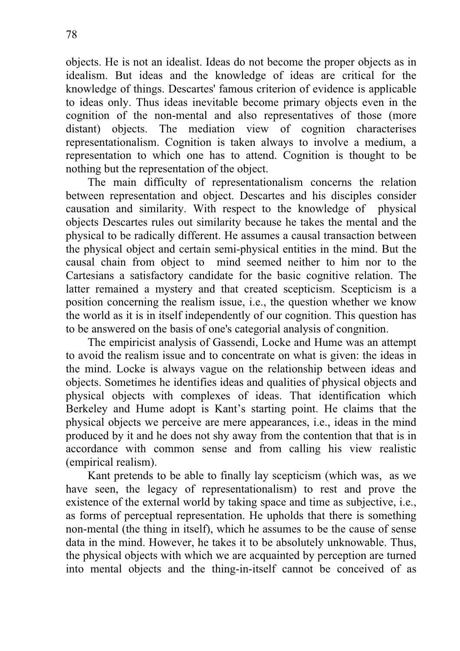objects. He is not an idealist. Ideas do not become the proper objects as in idealism. But ideas and the knowledge of ideas are critical for the knowledge of things. Descartes' famous criterion of evidence is applicable to ideas only. Thus ideas inevitable become primary objects even in the cognition of the non-mental and also representatives of those (more distant) objects. The mediation view of cognition characterises representationalism. Cognition is taken always to involve a medium, a representation to which one has to attend. Cognition is thought to be nothing but the representation of the object.

The main difficulty of representationalism concerns the relation between representation and object. Descartes and his disciples consider causation and similarity. With respect to the knowledge of physical objects Descartes rules out similarity because he takes the mental and the physical to be radically different. He assumes a causal transaction between the physical object and certain semi-physical entities in the mind. But the causal chain from object to mind seemed neither to him nor to the Cartesians a satisfactory candidate for the basic cognitive relation. The latter remained a mystery and that created scepticism. Scepticism is a position concerning the realism issue, i.e., the question whether we know the world as it is in itself independently of our cognition. This question has to be answered on the basis of one's categorial analysis of congnition.

The empiricist analysis of Gassendi, Locke and Hume was an attempt to avoid the realism issue and to concentrate on what is given: the ideas in the mind. Locke is always vague on the relationship between ideas and objects. Sometimes he identifies ideas and qualities of physical objects and physical objects with complexes of ideas. That identification which Berkeley and Hume adopt is Kant's starting point. He claims that the physical objects we perceive are mere appearances, i.e., ideas in the mind produced by it and he does not shy away from the contention that that is in accordance with common sense and from calling his view realistic (empirical realism).

Kant pretends to be able to finally lay scepticism (which was, as we have seen, the legacy of representationalism) to rest and prove the existence of the external world by taking space and time as subjective, i.e., as forms of perceptual representation. He upholds that there is something non-mental (the thing in itself), which he assumes to be the cause of sense data in the mind. However, he takes it to be absolutely unknowable. Thus, the physical objects with which we are acquainted by perception are turned into mental objects and the thing-in-itself cannot be conceived of as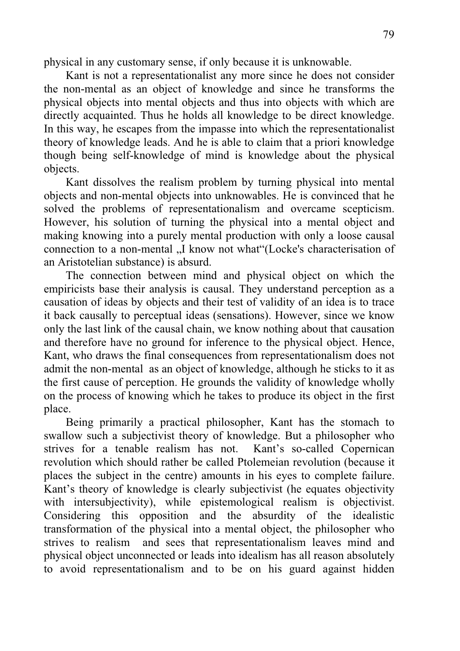physical in any customary sense, if only because it is unknowable.

Kant is not a representationalist any more since he does not consider the non-mental as an object of knowledge and since he transforms the physical objects into mental objects and thus into objects with which are directly acquainted. Thus he holds all knowledge to be direct knowledge. In this way, he escapes from the impasse into which the representationalist theory of knowledge leads. And he is able to claim that a priori knowledge though being self-knowledge of mind is knowledge about the physical objects.

Kant dissolves the realism problem by turning physical into mental objects and non-mental objects into unknowables. He is convinced that he solved the problems of representationalism and overcame scepticism. However, his solution of turning the physical into a mental object and making knowing into a purely mental production with only a loose causal connection to a non-mental ...I know not what "(Locke's characterisation of an Aristotelian substance) is absurd.

The connection between mind and physical object on which the empiricists base their analysis is causal. They understand perception as a causation of ideas by objects and their test of validity of an idea is to trace it back causally to perceptual ideas (sensations). However, since we know only the last link of the causal chain, we know nothing about that causation and therefore have no ground for inference to the physical object. Hence, Kant, who draws the final consequences from representationalism does not admit the non-mental as an object of knowledge, although he sticks to it as the first cause of perception. He grounds the validity of knowledge wholly on the process of knowing which he takes to produce its object in the first place.

Being primarily a practical philosopher, Kant has the stomach to swallow such a subjectivist theory of knowledge. But a philosopher who strives for a tenable realism has not. Kant's so-called Copernican revolution which should rather be called Ptolemeian revolution (because it places the subject in the centre) amounts in his eyes to complete failure. Kant's theory of knowledge is clearly subjectivist (he equates objectivity with intersubjectivity), while epistemological realism is objectivist. Considering this opposition and the absurdity of the idealistic transformation of the physical into a mental object, the philosopher who strives to realism and sees that representationalism leaves mind and physical object unconnected or leads into idealism has all reason absolutely to avoid representationalism and to be on his guard against hidden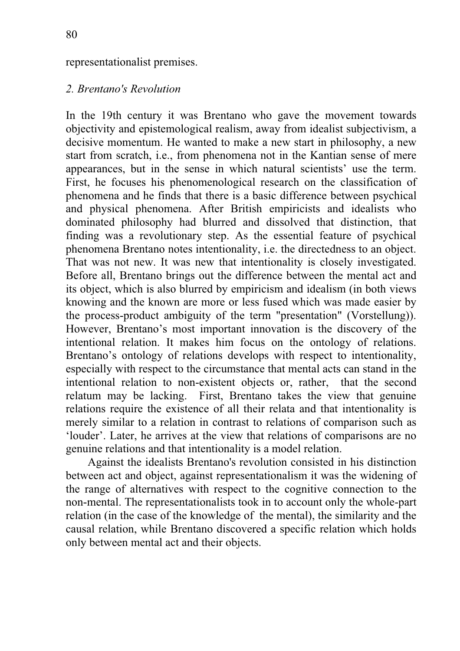#### representationalist premises.

## *2. Brentano's Revolution*

In the 19th century it was Brentano who gave the movement towards objectivity and epistemological realism, away from idealist subjectivism, a decisive momentum. He wanted to make a new start in philosophy, a new start from scratch, i.e., from phenomena not in the Kantian sense of mere appearances, but in the sense in which natural scientists' use the term. First, he focuses his phenomenological research on the classification of phenomena and he finds that there is a basic difference between psychical and physical phenomena. After British empiricists and idealists who dominated philosophy had blurred and dissolved that distinction, that finding was a revolutionary step. As the essential feature of psychical phenomena Brentano notes intentionality, i.e. the directedness to an object. That was not new. It was new that intentionality is closely investigated. Before all, Brentano brings out the difference between the mental act and its object, which is also blurred by empiricism and idealism (in both views knowing and the known are more or less fused which was made easier by the process-product ambiguity of the term "presentation" (Vorstellung)). However, Brentano's most important innovation is the discovery of the intentional relation. It makes him focus on the ontology of relations. Brentano's ontology of relations develops with respect to intentionality, especially with respect to the circumstance that mental acts can stand in the intentional relation to non-existent objects or, rather, that the second relatum may be lacking. First, Brentano takes the view that genuine relations require the existence of all their relata and that intentionality is merely similar to a relation in contrast to relations of comparison such as 'louder'. Later, he arrives at the view that relations of comparisons are no genuine relations and that intentionality is a model relation.

Against the idealists Brentano's revolution consisted in his distinction between act and object, against representationalism it was the widening of the range of alternatives with respect to the cognitive connection to the non-mental. The representationalists took in to account only the whole-part relation (in the case of the knowledge of the mental), the similarity and the causal relation, while Brentano discovered a specific relation which holds only between mental act and their objects.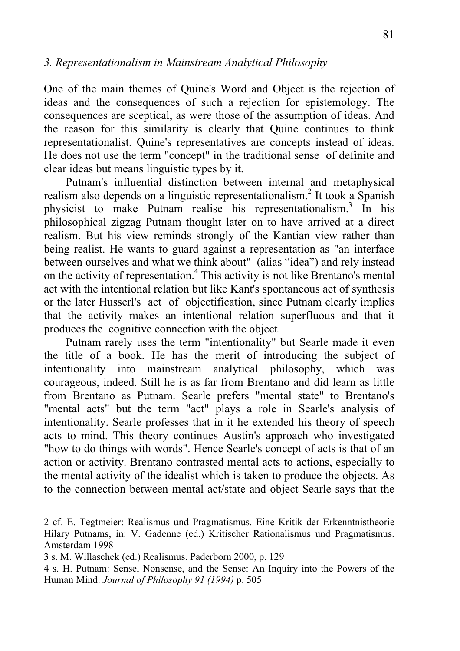## *3. Representationalism in Mainstream Analytical Philosophy*

One of the main themes of Quine's Word and Object is the rejection of ideas and the consequences of such a rejection for epistemology. The consequences are sceptical, as were those of the assumption of ideas. And the reason for this similarity is clearly that Quine continues to think representationalist. Quine's representatives are concepts instead of ideas. He does not use the term "concept" in the traditional sense of definite and clear ideas but means linguistic types by it.

Putnam's influential distinction between internal and metaphysical realism also depends on a linguistic representationalism.<sup>2</sup> It took a Spanish physicist to make Putnam realise his representationalism.<sup>3</sup> In his philosophical zigzag Putnam thought later on to have arrived at a direct realism. But his view reminds strongly of the Kantian view rather than being realist. He wants to guard against a representation as "an interface between ourselves and what we think about" (alias "idea") and rely instead on the activity of representation.<sup>4</sup> This activity is not like Brentano's mental act with the intentional relation but like Kant's spontaneous act of synthesis or the later Husserl's act of objectification, since Putnam clearly implies that the activity makes an intentional relation superfluous and that it produces the cognitive connection with the object.

Putnam rarely uses the term "intentionality" but Searle made it even the title of a book. He has the merit of introducing the subject of intentionality into mainstream analytical philosophy, which was courageous, indeed. Still he is as far from Brentano and did learn as little from Brentano as Putnam. Searle prefers "mental state" to Brentano's "mental acts" but the term "act" plays a role in Searle's analysis of intentionality. Searle professes that in it he extended his theory of speech acts to mind. This theory continues Austin's approach who investigated "how to do things with words". Hence Searle's concept of acts is that of an action or activity. Brentano contrasted mental acts to actions, especially to the mental activity of the idealist which is taken to produce the objects. As to the connection between mental act/state and object Searle says that the

<sup>2</sup> cf. E. Tegtmeier: Realismus und Pragmatismus. Eine Kritik der Erkenntnistheorie Hilary Putnams, in: V. Gadenne (ed.) Kritischer Rationalismus und Pragmatismus. Amsterdam 1998

<sup>3</sup> s. M. Willaschek (ed.) Realismus. Paderborn 2000, p. 129

<sup>4</sup> s. H. Putnam: Sense, Nonsense, and the Sense: An Inquiry into the Powers of the Human Mind. *Journal of Philosophy 91 (1994)* p. 505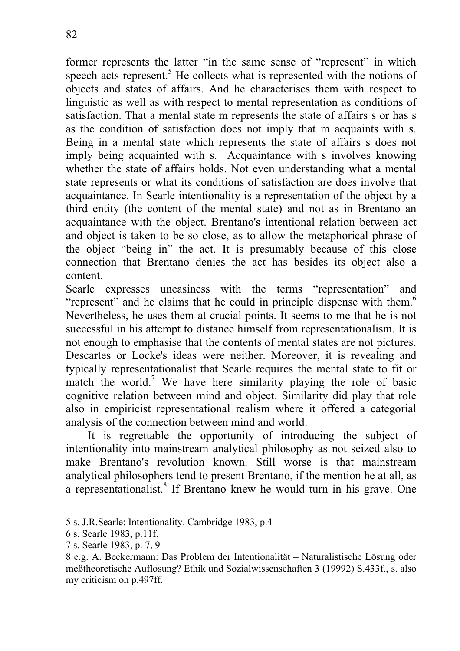former represents the latter "in the same sense of "represent" in which speech acts represent.<sup>5</sup> He collects what is represented with the notions of objects and states of affairs. And he characterises them with respect to linguistic as well as with respect to mental representation as conditions of satisfaction. That a mental state m represents the state of affairs s or has s as the condition of satisfaction does not imply that m acquaints with s. Being in a mental state which represents the state of affairs s does not imply being acquainted with s. Acquaintance with s involves knowing whether the state of affairs holds. Not even understanding what a mental state represents or what its conditions of satisfaction are does involve that acquaintance. In Searle intentionality is a representation of the object by a third entity (the content of the mental state) and not as in Brentano an acquaintance with the object. Brentano's intentional relation between act and object is taken to be so close, as to allow the metaphorical phrase of the object "being in" the act. It is presumably because of this close connection that Brentano denies the act has besides its object also a content.

Searle expresses uneasiness with the terms "representation" and "represent" and he claims that he could in principle dispense with them.<sup>6</sup> Nevertheless, he uses them at crucial points. It seems to me that he is not successful in his attempt to distance himself from representationalism. It is not enough to emphasise that the contents of mental states are not pictures. Descartes or Locke's ideas were neither. Moreover, it is revealing and typically representationalist that Searle requires the mental state to fit or match the world.<sup>7</sup> We have here similarity playing the role of basic cognitive relation between mind and object. Similarity did play that role also in empiricist representational realism where it offered a categorial analysis of the connection between mind and world.

It is regrettable the opportunity of introducing the subject of intentionality into mainstream analytical philosophy as not seized also to make Brentano's revolution known. Still worse is that mainstream analytical philosophers tend to present Brentano, if the mention he at all, as a representationalist.<sup>8</sup> If Brentano knew he would turn in his grave. One

<sup>5</sup> s. J.R.Searle: Intentionality. Cambridge 1983, p.4

<sup>6</sup> s. Searle 1983, p.11f.

<sup>7</sup> s. Searle 1983, p. 7, 9

<sup>8</sup> e.g. A. Beckermann: Das Problem der Intentionalität – Naturalistische Lösung oder meßtheoretische Auflösung? Ethik und Sozialwissenschaften 3 (19992) S.433f., s. also my criticism on p.497ff.